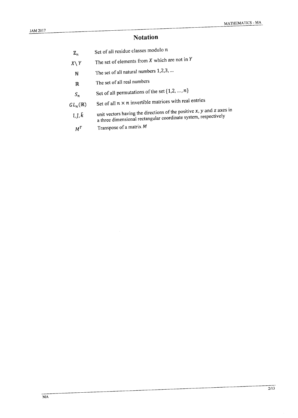## **Notation**

- Set of all residue classes modulo  $n$  $\mathbb{Z}_n$
- The set of elements from  $X$  which are not in  $Y$  $X \setminus Y$ 
	- The set of all natural numbers 1,2,3, ...  $\mathbb N$
	- The set of all real numbers  $\mathbb R$
	- Set of all permutations of the set  $\{1,2,...,n\}$  $S_n$
- Set of all  $n \times n$  invertible matrices with real entries  $GL_n(\mathbb R)$ 
	- unit vectors having the directions of the positive  $x$ ,  $y$  and  $z$  axes in  $\hat{\iota},\hat{\jmath},\hat{k}$ a three dimensional rectangular coordinate system, respectively
	- Transpose of a matrix M  $M^T$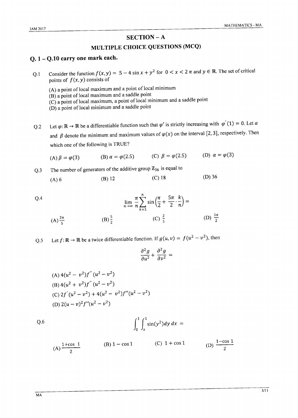### $SECTION - A$

## MULTIPLE CHOICE QUESTIONS (MCQ)

## Q. 1 - Q.10 carry one mark each.

Consider the function  $f(x, y) = 5 - 4 \sin x + y^2$  for  $0 < x < 2 \pi$  and  $y \in \mathbb{R}$ . The set of critical  $0.1$ points of  $f(x, y)$  consists of

(A) a point of local maximum and a point of local minimum (B) a point of local maximum and a saddle point  $(C)$  a point of local maximum, a point of local minimum and a saddle point (D) a point of local minimum and a saddle point

Let  $\varphi: \mathbb{R} \to \mathbb{R}$  be a differentiable function such that  $\varphi'$  is strictly increasing with  $\varphi'(1) = 0$ . Let  $\alpha$  $Q<sub>0.2</sub>$ and  $\beta$  denote the minimum and maximum values of  $\varphi(x)$  on the interval [2, 3], respectively. Then which one of the following is TRUE?

(A) 
$$
\beta = \varphi(3)
$$
 (B)  $\alpha = \varphi(2.5)$  (C)  $\beta = \varphi(2.5)$  (D)  $\alpha = \varphi(3)$ 

The number of generators of the additive group  $\mathbb{Z}_{36}$  is equal to  $Q.3$ 

Q.4  
\n
$$
\lim_{n \to \infty} \frac{\pi}{n} \sum_{k=1}^{n} \sin\left(\frac{\pi}{2} + \frac{5\pi}{2} \cdot \frac{k}{n}\right) =
$$
\n(A)  $\frac{2\pi}{5}$   
\n(B)  $\frac{5}{2}$   
\n(C)  $\frac{2}{5}$   
\n(D)  $\frac{5\pi}{2}$ 

Let  $f: \mathbb{R} \to \mathbb{R}$  be a twice differentiable function. If  $g(u, v) = f(u^2 - v^2)$ , then  $Q.5$ 

$$
\frac{\partial^2 g}{\partial u^2} + \frac{\partial^2 g}{\partial v^2} =
$$

(A) 
$$
4(u^2 - v^2)f''(u^2 - v^2)
$$
  
\n(B)  $4(u^2 + v^2)f''(u^2 - v^2)$   
\n(C)  $2f'(u^2 - v^2) + 4(u^2 - v^2)f''(u^2 - v^2)$   
\n(D)  $2(u - v)^2f''(u^2 - v^2)$ 

 $\int_0^1 \int_x^1 \sin(y^2) dy dx =$ 

(A) 
$$
\frac{1+\cos 1}{2}
$$
 \t(B)  $1-\cos 1$  \t(C)  $1+\cos 1$  \t(D)  $\frac{1-\cos 1}{2}$ 

 $Q.6$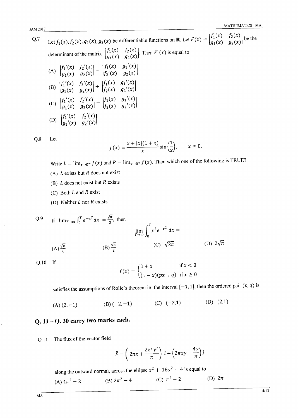| .   |                                                                                                                                                                      |  |
|-----|----------------------------------------------------------------------------------------------------------------------------------------------------------------------|--|
| Q.7 | Let $f_1(x)$ , $f_2(x)$ , $g_1(x)$ , $g_2(x)$ be differentiable functions on R. Let $F(x) = \begin{vmatrix} f_1(x) & f_2(x) \\ a_1(x) & a_2(x) \end{vmatrix}$ be the |  |
|     | determinant of the matrix $\begin{bmatrix} f_1(x) & f_2(x) \\ a_1(x) & a_2(x) \end{bmatrix}$ . Then $F'(x)$ is equal to                                              |  |
|     | (A) $\begin{vmatrix} f_1'(x) & f_2'(x) \\ g_1(x) & g_2(x) \end{vmatrix} + \begin{vmatrix} f_1(x) & g_1'(x) \\ f_2'(x) & g_2(x) \end{vmatrix}$                        |  |
|     | (B) $\begin{vmatrix} f_1'(x) & f_2'(x) \\ a_1(x) & a_2(x) \end{vmatrix} + \begin{vmatrix} f_1(x) & g_1'(x) \\ f_2(x) & a_2'(x) \end{vmatrix}$                        |  |
|     | (C) $\begin{vmatrix} f_1'(x) & f_2'(x) \\ g_1(x) & g_2(x) \end{vmatrix} - \begin{vmatrix} f_1(x) & g_1'(x) \\ f_2(x) & g_2'(x) \end{vmatrix}$                        |  |
|     | (D) $\begin{vmatrix} f_1'(x) & f_2'(x) \\ a_1'(x) & a_2'(x) \end{vmatrix}$                                                                                           |  |
|     |                                                                                                                                                                      |  |

 $Q.8$ Let

$$
f(x) = \frac{x + |x|(1+x)}{x} \sin\left(\frac{1}{x}\right), \qquad x \neq 0
$$

Write  $L = \lim_{x\to 0^-} f(x)$  and  $R = \lim_{x\to 0^+} f(x)$ . Then which one of the following is TRUE?

- (A)  $L$  exists but  $R$  does not exist
- (B)  $L$  does not exist but  $R$  exists
- (C) Both  $L$  and  $R$  exist
- (D) Neither  $L$  nor  $R$  exists

Q.9 If 
$$
\lim_{T \to \infty} \int_0^T e^{-x^2} dx = \frac{\sqrt{\pi}}{2}
$$
, then  
\n
$$
\lim_{T \to \infty} \int_0^T x^2 e^{-x^2} dx =
$$
\n(A)  $\frac{\sqrt{\pi}}{4}$  (B)  $\frac{\sqrt{\pi}}{2}$  (C)  $\sqrt{2\pi}$  (D)  $2\sqrt{\pi}$ 

 $Q.10$  If

$$
f(x) = \begin{cases} 1 + x & \text{if } x < 0 \\ (1 - x)(px + q) & \text{if } x \ge 0 \end{cases}
$$

satisfies the assumptions of Rolle's theorem in the interval  $[-1, 1]$ , then the ordered pair  $(p, q)$  is

(B)  $(-2,-1)$  (C)  $(-2,1)$  $(D)$   $(2,1)$  $(A) (2, -1)$ 

# Q.  $11 - Q$ . 30 carry two marks each.

Q.11 The flux of the vector field

$$
\vec{F} = \left(2\pi x + \frac{2x^2y^2}{\pi}\right)\hat{i} + \left(2\pi xy - \frac{4y}{\pi}\right)\hat{j}
$$

along the outward normal, across the ellipse  $x^2 + 16y^2 = 4$  is equal to

(A) 
$$
4\pi^2 - 2
$$
 \t\t (B)  $2\pi^2 - 4$  \t\t (C)  $\pi^2 - 2$  \t\t (D)  $2\pi$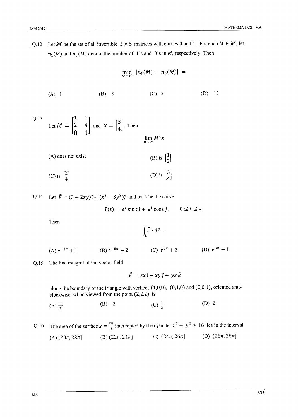Q.12 Let M be the set of all invertible  $5 \times 5$  matrices with entries 0 and 1. For each  $M \in \mathcal{M}$ , let  $n_1(M)$  and  $n_0(M)$  denote the number of 1's and 0's in M, respectively. Then

$$
\min_{M \in \mathcal{M}} |n_1(M) - n_0(M)| =
$$
\n(A) 1 (B) 3 (C) 5 (D) 15

Q.13 Let 
$$
M = \begin{bmatrix} \frac{1}{2} & \frac{1}{4} \\ 0 & 1 \end{bmatrix}
$$
 and  $x = \begin{bmatrix} 3 \\ 4 \end{bmatrix}$ . Then  

$$
\lim_{n \to \infty} M^n
$$

(A) does not exist  
\n(B) is 
$$
\begin{bmatrix} 1 \\ 2 \end{bmatrix}
$$
  
\n(C) is  $\begin{bmatrix} 2 \\ 4 \end{bmatrix}$   
\n(D) is  $\begin{bmatrix} 3 \\ 4 \end{bmatrix}$ 

Q.14 Let  $\vec{F} = (3 + 2xy)\hat{i} + (x^2 - 3y^2)\hat{j}$  and let L be the curve

$$
\vec{r}(t) = e^t \sin t \,\hat{\imath} + e^t \cos t \,\hat{\jmath}, \qquad 0 \le t \le \pi.
$$

 $\boldsymbol{\chi}$ 

Then

$$
\int_L \vec{F} \cdot d\vec{r} \;=\;
$$

(B)  $e^{-6\pi} + 2$  (C)  $e^{6\pi} + 2$  (D)  $e^{3\pi} + 1$ (A)  $e^{-3\pi} + 1$ 

Q.15 The line integral of the vector field

$$
\vec{F} = zx \hat{i} + xy \hat{j} + yz \hat{k}
$$

along the boundary of the triangle with vertices  $(1,0,0)$ ,  $(0,1,0)$  and  $(0,0,1)$ , oriented anticlockwise, when viewed from the point (2,2,2), is

- (C)  $\frac{1}{2}$  $(D)$  2 (A)  $\frac{-1}{2}$  $(B) -2$
- The area of the surface  $z = \frac{xy}{3}$  intercepted by the cylinder  $x^2 + y^2 \le 16$  lies in the interval  $Q.16$ (D)  $(26\pi, 28\pi)$ (C)  $(24\pi, 26\pi]$ (B)  $(22\pi, 24\pi)$ (A)  $(20\pi, 22\pi]$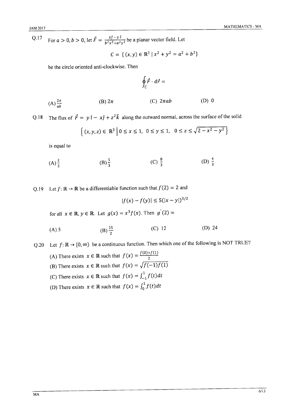Q.17 For  $a > 0$ ,  $b > 0$ , let  $\vec{F} = \frac{x\hat{j} - y\hat{i}}{b^2x^2 + a^2y^2}$  be a planar vector field. Let

$$
C = \{ (x, y) \in \mathbb{R}^2 \mid x^2 + y^2 = a^2 + b^2 \}
$$

be the circle oriented anti-clockwise. Then

$$
\oint_C \vec{F} \cdot d\vec{r} =
$$

(A) 
$$
\frac{2\pi}{ab}
$$
 \t\t (B)  $2\pi$  \t\t (C)  $2\pi ab$  \t\t (D) 0

The flux of  $\vec{F} = y \hat{i} - x\hat{j} + z^2\hat{k}$  along the outward normal, across the surface of the solid  $O.18$ 

$$
\{(x, y, z) \in \mathbb{R}^3 \mid 0 \le x \le 1, 0 \le y \le 1, 0 \le z \le \sqrt{2 - x^2 - y^2}\}
$$

is equal to

(A) 
$$
\frac{2}{3}
$$
 \t\t (B)  $\frac{5}{3}$  \t\t (C)  $\frac{8}{3}$  \t\t (D)  $\frac{4}{3}$ 

Q.19 Let  $f: \mathbb{R} \to \mathbb{R}$  be a differentiable function such that  $f(2) = 2$  and

$$
|f(x) - f(y)| \le 5(|x - y|)^{3/2}
$$

for all  $x \in \mathbb{R}$ ,  $y \in \mathbb{R}$ . Let  $g(x) = x^3 f(x)$ . Then  $g'(2) =$ 

(A) 5 (B) 
$$
\frac{15}{2}
$$
 (C) 12 (D) 24

Q.20 Let  $f: \mathbb{R} \to [0, \infty)$  be a continuous function. Then which one of the following is NOT TRUE? (A) There exists  $x \in \mathbb{R}$  such that  $f(x) = \frac{f(0) + f(1)}{2}$ (B) There exists  $x \in \mathbb{R}$  such that  $f(x) = \sqrt{f(-1)f(1)}$ (C) There exists  $x \in \mathbb{R}$  such that  $f(x) = \int_{-1}^{1} f(t) dt$ (D) There exists  $x \in \mathbb{R}$  such that  $f(x) = \int_0^1 f(t) dt$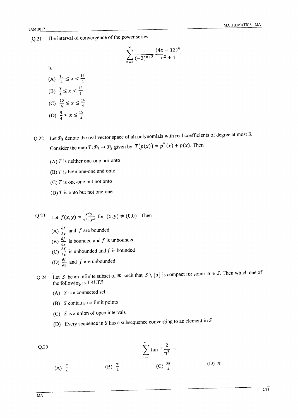The interval of convergence of the power series  $Q.21$ 

$$
\sum_{n=1}^{\infty} \frac{1}{(-3)^{n+2}} \frac{(4x-12)^n}{n^2+1}
$$

is

- (A)  $\frac{10}{4} \leq x < \frac{14}{4}$ (B)  $\frac{9}{4} \le x < \frac{15}{4}$ (C)  $\frac{10}{4} \le x \le \frac{14}{4}$ (D)  $\frac{9}{4} \le x \le \frac{15}{4}$
- Let  $\mathcal{P}_3$  denote the real vector space of all polynomials with real coefficients of degree at most 3.  $Q.22$ Consider the map  $T: \mathcal{P}_3 \to \mathcal{P}_3$  given by  $T(p(x)) = p''(x) + p(x)$ . Then
	- (A)  $T$  is neither one-one nor onto
	- (B)  $T$  is both one-one and onto
	- (C)  $T$  is one-one but not onto
	- (D)  $T$  is onto but not one-one
- Q.23 Let  $f(x,y) = \frac{x^2y}{x^2+y^2}$  for  $(x,y) \neq (0,0)$ . Then (A)  $\frac{\partial f}{\partial x}$  and f are bounded (B)  $\frac{\partial f}{\partial x}$  is bounded and f is unbounded (C)  $\frac{\partial f}{\partial x}$  is unbounded and f is bounded (D)  $\frac{\partial f}{\partial x}$  and f are unbounded
- Q.24 Let S be an infinite subset of R such that  $S \setminus \{\alpha\}$  is compact for some  $\alpha \in S$ . Then which one of the following is TRUE?
	- $(A)$  S is a connected set
	- (B) S contains no limit points
	- (C)  $S$  is a union of open intervals
	- (D) Every sequence in S has a subsequence converging to an element in S

Q.25  
\n
$$
\sum_{n=1}^{\infty} \tan^{-1} \frac{2}{n^2} =
$$
\n(A)  $\frac{\pi}{4}$  (B)  $\frac{\pi}{2}$  (C)  $\frac{3\pi}{4}$  (D)  $\pi$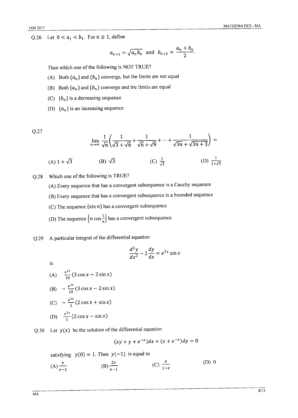Q.26 Let  $0 < a_1 < b_1$ . For  $n \ge 1$ , define

$$
a_{n+1} = \sqrt{a_n b_n}
$$
 and  $b_{n+1} = \frac{a_n + b_n}{2}$ .

Then which one of the following is NOT TRUE?

- (A) Both  $\{a_n\}$  and  $\{b_n\}$  converge, but the limits are not equal
- (B) Both  $\{a_n\}$  and  $\{b_n\}$  converge and the limits are equal
- (C)  ${b_n}$  is a decreasing sequence
- (D)  $\{a_n\}$  is an increasing sequence

 $Q.27$ 

$$
\lim_{n \to \infty} \frac{1}{\sqrt{n}} \left( \frac{1}{\sqrt{3} + \sqrt{6}} + \frac{1}{\sqrt{6} + \sqrt{9}} + \dots + \frac{1}{\sqrt{3n} + \sqrt{3n} + 3} \right) =
$$

(A) 
$$
1 + \sqrt{3}
$$
 \t(B)  $\sqrt{3}$  \t(C)  $\frac{1}{\sqrt{3}}$  \t(D)  $\frac{1}{1 + \sqrt{3}}$ 

Which one of the following is TRUE?  $Q.28$ 

(A) Every sequence that has a convergent subsequence is a Cauchy sequence

- (B) Every sequence that has a convergent subsequence is a bounded sequence
- (C) The sequence  $\{\sin n\}$  has a convergent subsequence
- (D) The sequence  $\left\{n\cos\frac{1}{n}\right\}$  has a convergent subsequence

A particular integral of the differential equation  $Q.29$ 

$$
\frac{d^2y}{dx^2} - 2\frac{dy}{dx} = e^{2x}\sin x
$$

is

(A) 
$$
\frac{e^{2x}}{10}(3 \cos x - 2 \sin x)
$$
  
\n(B)  $-\frac{e^{2x}}{10}(3 \cos x - 2 \sin x)$   
\n(C)  $-\frac{e^{2x}}{5}(2 \cos x + \sin x)$   
\n(D)  $\frac{e^{2x}}{5}(2 \cos x - \sin x)$ 

Q.30 Let  $y(x)$  be the solution of the differential equation

$$
(xy + y + e^{-x})dx + (x + e^{-x})dy = 0
$$

satisfying  $y(0) = 1$ . Then  $y(-1)$  is equal to

(A) 
$$
\frac{e}{e-1}
$$
 \t\t (B)  $\frac{2e}{e-1}$  \t\t (C)  $\frac{e}{1-e}$  \t\t (D) 0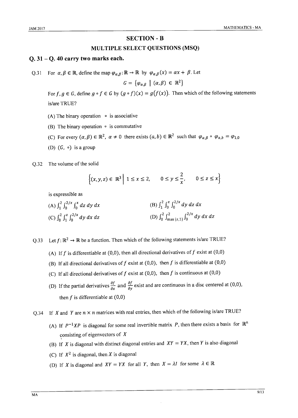#### **SECTION - B**

#### MULTIPLE SELECT QUESTIONS (MSQ)

#### $Q. 31 - Q. 40$  carry two marks each.

Q.31 For  $\alpha, \beta \in \mathbb{R}$ , define the map  $\varphi_{\alpha,\beta} : \mathbb{R} \to \mathbb{R}$  by  $\varphi_{\alpha,\beta}(x) = \alpha x + \beta$ . Let

$$
G = \{ \varphi_{\alpha,\beta} \mid (\alpha,\beta) \in \mathbb{R}^2 \}
$$

For  $f, g \in G$ , define  $g \circ f \in G$  by  $(g \circ f)(x) = g(f(x))$ . Then which of the following statements is/are TRUE?

- (A) The binary operation  $\circ$  is associative
- (B) The binary operation  $\circ$  is commutative
- (C) For every  $(\alpha, \beta) \in \mathbb{R}^2$ ,  $\alpha \neq 0$  there exists  $(a, b) \in \mathbb{R}^2$  such that  $\varphi_{\alpha, \beta} \circ \varphi_{\alpha, b} = \varphi_{1, 0}$
- (D)  $(G, \circ)$  is a group
- $O.32$ The volume of the solid

$$
\left\{ (x, y, z) \in \mathbb{R}^3 \middle| 1 \le x \le 2, \quad 0 \le y \le \frac{2}{x}, \quad 0 \le z \le x \right\}
$$

is expressible as

(A) 
$$
\int_1^2 \int_0^{2/x} \int_0^x dz dy dx
$$
  
\n(B)  $\int_1^2 \int_0^x \int_0^{2/x} dy dz dx$   
\n(C)  $\int_0^2 \int_1^z \int_0^{2/x} dy dx dz$   
\n(D)  $\int_0^2 \int_{\max\{z,1\}}^2 \int_0^{2/x} dy dx dz$ 

Q.33 Let  $f: \mathbb{R}^2 \to \mathbb{R}$  be a function. Then which of the following statements is/are TRUE?

- (A) If f is differentiable at (0,0), then all directional derivatives of f exist at (0,0)
- (B) If all directional derivatives of f exist at  $(0,0)$ , then f is differentiable at  $(0,0)$
- (C) If all directional derivatives of f exist at  $(0,0)$ , then f is continuous at  $(0,0)$
- (D) If the partial derivatives  $\frac{\partial f}{\partial x}$  and  $\frac{\partial f}{\partial y}$  exist and are continuous in a disc centered at (0,0), then  $f$  is differentiable at  $(0,0)$

If X and Y are  $n \times n$  matrices with real entries, then which of the following is/are TRUE?  $O.34$ 

- (A) If  $P^{-1}XP$  is diagonal for some real invertible matrix P, then there exists a basis for  $\mathbb{R}^n$ consisting of eigenvectors of  $X$
- (B) If X is diagonal with distinct diagonal entries and  $XY = YX$ , then Y is also diagonal
- (C) If  $X^2$  is diagonal, then X is diagonal
- (D) If X is diagonal and  $XY = YX$  for all Y, then  $X = \lambda I$  for some  $\lambda \in \mathbb{R}$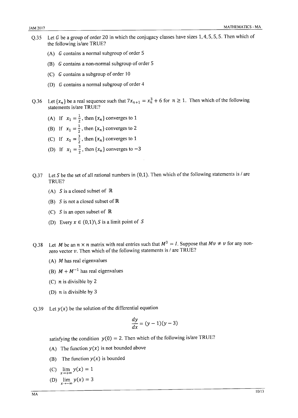- Let G be a group of order 20 in which the conjugacy classes have sizes  $1, 4, 5, 5, 5$ . Then which of  $0.35$ the following is/are TRUE?
	- (A)  $G$  contains a normal subgroup of order 5
	- (B)  $G$  contains a non-normal subgroup of order 5
	- $(C)$  G contains a subgroup of order 10
	- (D) G contains a normal subgroup of order 4
- Let  $\{x_n\}$  be a real sequence such that  $7x_{n+1} = x_n^3 + 6$  for  $n \ge 1$ . Then which of the following  $0.36$ statements is/are TRUE?
	- (A) If  $x_1 = \frac{1}{2}$ , then  $\{x_n\}$  converges to 1
	- (B) If  $x_1 = \frac{1}{2}$ , then  $\{x_n\}$  converges to 2
	- (C) If  $x_1 = \frac{3}{2}$ , then  $\{x_n\}$  converges to 1
	- (D) If  $x_1 = \frac{3}{2}$ , then  $\{x_n\}$  converges to  $-3$
- Let S be the set of all rational numbers in  $(0,1)$ . Then which of the following statements is / are  $Q.37$ TRUE?
	- (A) S is a closed subset of  $\mathbb R$
	- (B) S is not a closed subset of  $\mathbb R$
	- (C) S is an open subset of  $\mathbb R$
	- (D) Every  $x \in (0,1) \setminus S$  is a limit point of S
- Let M be an  $n \times n$  matrix with real entries such that  $M^3 = I$ . Suppose that  $Mv \neq v$  for any non- $Q.38$ zero vector  $v$ . Then which of the following statements is / are TRUE?
	- (A)  $M$  has real eigenvalues
	- (B)  $M + M^{-1}$  has real eigenvalues
	- (C)  $n$  is divisible by 2
	- (D)  $n$  is divisible by 3
- Q.39 Let  $y(x)$  be the solution of the differential equation

$$
\frac{dy}{dx} = (y-1)(y-3)
$$

satisfying the condition  $y(0) = 2$ . Then which of the following is/are TRUE?

- (A) The function  $y(x)$  is not bounded above
- (B) The function  $y(x)$  is bounded
- (C)  $\lim y(x) = 1$
- $\lim_{x\to-\infty} y(x) = 3$  $(D)$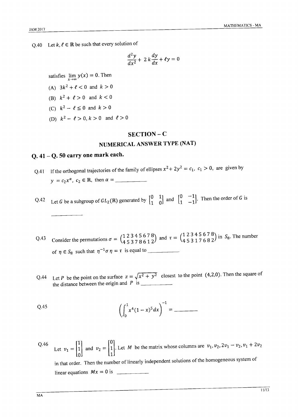Q.40 Let  $k, \ell \in \mathbb{R}$  be such that every solution of

$$
\frac{d^2y}{dx^2} + 2k\frac{dy}{dx} + \ell y = 0
$$

satisfies  $\lim_{x\to\infty} y(x) = 0$ . Then

- (A)  $3k^2 + \ell < 0$  and  $k > 0$
- (B)  $k^2 + \ell > 0$  and  $k < 0$
- (C)  $k^2 \ell \le 0$  and  $k > 0$
- (D)  $k^2 \ell > 0, k > 0$  and  $\ell > 0$

#### SECTION-C

### NUMERICAL ANSWER TYPE (NAT)

#### $Q.41 - Q.50$  carry one mark each.

Q.41 If the orthogonal trajectories of the family of ellipses  $x^2 + 2y^2 = c_1$ ,  $c_1 > 0$ , are given by  $y = c_2 x^{\alpha}, c_2 \in \mathbb{R}$ , then  $\alpha =$ 

Let G be a subgroup of  $GL_2(\mathbb{R})$  generated by  $\begin{bmatrix} 0 & 1 \\ 1 & 0 \end{bmatrix}$  and  $\begin{bmatrix} 0 & -1 \\ 1 & -1 \end{bmatrix}$ . Then the order of G is  $Q.42$ 

Q.43 Consider the permutations  $\sigma = \begin{pmatrix} 1 & 2 & 3 & 4 & 5 & 6 & 7 & 8 \\ 4 & 5 & 3 & 7 & 8 & 6 & 1 & 2 \end{pmatrix}$  and  $\tau = \begin{pmatrix} 1 & 2 & 3 & 4 & 5 & 6 & 7 & 8 \\ 4 & 5 & 3 & 1 & 7 & 6 & 8 & 2 \end{pmatrix}$  in S<sub>8</sub>. The number of  $\eta \in S_8$  such that  $\eta^{-1} \sigma \eta = \tau$  is equal to

Let P be the point on the surface  $z = \sqrt{x^2 + y^2}$  closest to the point (4,2,0). Then the square of Q.44 

Q.45 
$$
\left(\int_0^1 x^4 (1-x)^5 dx\right)^{-1} = \underline{\qquad}
$$

Q.46 Let  $v_1 = \begin{bmatrix} 1 \\ 1 \\ 0 \end{bmatrix}$  and  $v_2 = \begin{bmatrix} 0 \\ 1 \\ 1 \end{bmatrix}$ . Let *M* be the matrix whose columns are  $v_1, v_2, 2v_1 - v_2, v_1 + 2v_2$ in that order. Then the number of linearly independent solutions of the homogeneous system of linear equations  $Mx = 0$  is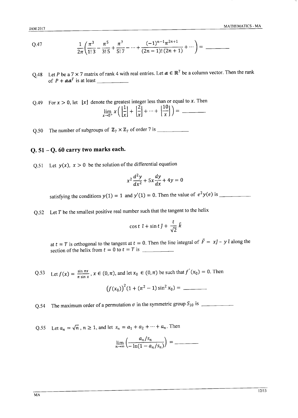Q.47 
$$
\frac{1}{2\pi} \left( \frac{\pi^3}{1!3} - \frac{\pi^5}{3!5} + \frac{\pi^7}{5!7} - \dots + \frac{(-1)^{n-1} \pi^{2n+1}}{(2n-1)! (2n+1)} + \dots \right) = \underline{\hspace{2cm}}
$$

- Q.48 Let P be a 7  $\times$  7 matrix of rank 4 with real entries. Let  $a \in \mathbb{R}^7$  be a column vector. Then the rank
- Q.49 For  $x > 0$ , let  $\lfloor x \rfloor$  denote the greatest integer less than or equal to x. Then  $\lim_{x\to 0^+} x \left( \left| \frac{1}{x} \right| + \left| \frac{2}{x} \right| + \dots + \left| \frac{10}{x} \right| \right) =$
- Q.50 The number of subgroups of  $\mathbb{Z}_7 \times \mathbb{Z}_7$  of order 7 is \_\_\_\_\_\_\_\_\_\_\_\_\_\_\_\_

#### $0.51 - 0.60$  carry two marks each.

Q.51 Let  $y(x)$ ,  $x > 0$  be the solution of the differential equation

$$
x^2\frac{d^2y}{dx^2} + 5x\frac{dy}{dx} + 4y = 0
$$

Q.52 Let  $T$  be the smallest positive real number such that the tangent to the helix

$$
\cos t \ \hat{\imath} + \sin t \, \hat{\jmath} + \frac{t}{\sqrt{2}} \, \hat{k}
$$

at  $t = T$  is orthogonal to the tangent at  $t = 0$ . Then the line integral of  $\vec{F} = x\hat{j} - y\hat{i}$  along the 

Q.53 Let  $f(x) = \frac{\sin \pi x}{\pi \sin x}$ ,  $x \in (0, \pi)$ , and let  $x_0 \in (0, \pi)$  be such that  $f'(x_0) = 0$ . Then

$$
(f(x_0))^2(1 + (\pi^2 - 1)\sin^2 x_0) =
$$

Q.55 Let  $a_n = \sqrt{n}$ ,  $n \ge 1$ , and let  $s_n = a_1 + a_2 + \dots + a_n$ . Then

$$
\lim_{n\to\infty}\left(\frac{a_n/s_n}{-\ln(1-a_n/s_n)}\right) =
$$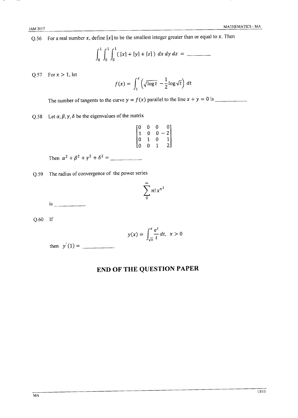Q.56 For a real number x, define  $[x]$  to be the smallest integer greater than or equal to x. Then

$$
\int_0^1 \int_0^1 \int_0^1 (|x| + |y| + |z|) \ dx \, dy \, dz =
$$

Q.57 For  $x > 1$ , let

$$
f(x) = \int_1^x \left(\sqrt{\log t} - \frac{1}{2} \log \sqrt{t}\right) dt
$$

Q.58 Let  $\alpha$ ,  $\beta$ ,  $\gamma$ ,  $\delta$  be the eigenvalues of the matrix

$$
\begin{bmatrix} 0 & 0 & 0 & 0 \\ 1 & 0 & 0 & -2 \\ 0 & 1 & 0 & 1 \\ 0 & 0 & 1 & 2 \end{bmatrix}
$$

Q.59 The radius of convergence of the power series

$$
\sum_0^\infty n! \, x^{n^2}
$$

 $is$ 

 $Q.60$  If

$$
y(x) = \int_{\sqrt{x}}^{x} \frac{e^t}{t} dt, \ x > 0
$$

# END OF THE QUESTION PAPER